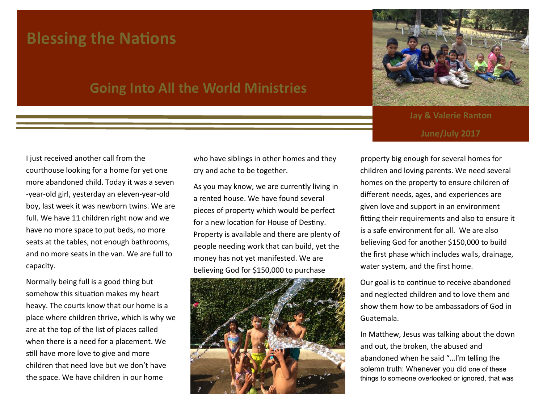## **Blessing the Nations**

## **Going Into All the World Ministries**

I just received another call from the courthouse looking for a home for yet one more abandoned child. Today it was a seven -year-old girl, yesterday an eleven-year-old boy, last week it was newborn twins. We are full. We have 11 children right now and we have no more space to put beds, no more seats at the tables, not enough bathrooms, and no more seats in the van. We are full to capacity.

Normally being full is a good thing but somehow this situation makes my heart heavy. The courts know that our home is a place where children thrive, which is why we are at the top of the list of places called when there is a need for a placement. We still have more love to give and more children that need love but we don't have the space. We have children in our home

who have siblings in other homes and they cry and ache to be together.

As you may know, we are currently living in a rented house. We have found several pieces of property which would be perfect for a new location for House of Destiny. Property is available and there are plenty of people needing work that can build, yet the money has not yet manifested. We are believing God for \$150,000 to purchase





**Jay & Valerie Ranton June/July 2017**

property big enough for several homes for children and loving parents. We need several homes on the property to ensure children of different needs, ages, and experiences are given love and support in an environment fitting their requirements and also to ensure it is a safe environment for all. We are also believing God for another \$150,000 to build the first phase which includes walls, drainage, water system, and the first home.

Our goal is to continue to receive abandoned and neglected children and to love them and show them how to be ambassadors of God in Guatemala.

In Matthew, Jesus was talking about the down and out, the broken, the abused and abandoned when he said "…I'm telling the solemn truth: Whenever you did one of these things to someone overlooked or ignored, that was